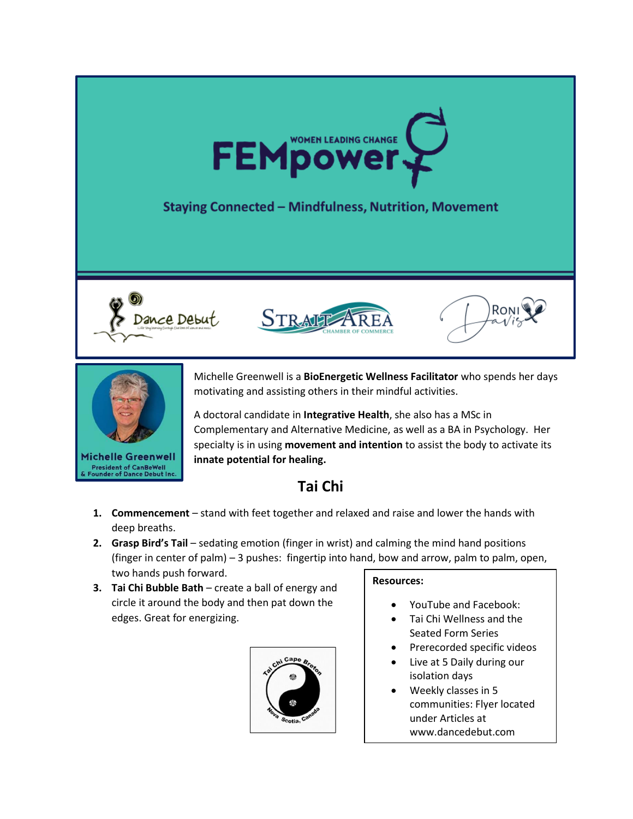

## **Staying Connected - Mindfulness, Nutrition, Movement**









**President of CanBeWell**<br>Founder of Dance Debut Inc

Michelle Greenwell is a **BioEnergetic Wellness Facilitator** who spends her days motivating and assisting others in their mindful activities.

A doctoral candidate in **Integrative Health**, she also has a MSc in Complementary and Alternative Medicine, as well as a BA in Psychology. Her specialty is in using **movement and intention** to assist the body to activate its **innate potential for healing.** 

# **Tai Chi**

- **1. Commencement** stand with feet together and relaxed and raise and lower the hands with deep breaths.
- **2. Grasp Bird's Tail** sedating emotion (finger in wrist) and calming the mind hand positions (finger in center of palm) – 3 pushes: fingertip into hand, bow and arrow, palm to palm, open, two hands push forward.
- **3. Tai Chi Bubble Bath** create a ball of energy and circle it around the body and then pat down the edges. Great for energizing.



#### **Resources:**

- YouTube and Facebook:
- Tai Chi Wellness and the Seated Form Series
- Prerecorded specific videos
- Live at 5 Daily during our isolation days
- Weekly classes in 5 communities: Flyer located under Articles at www.dancedebut.com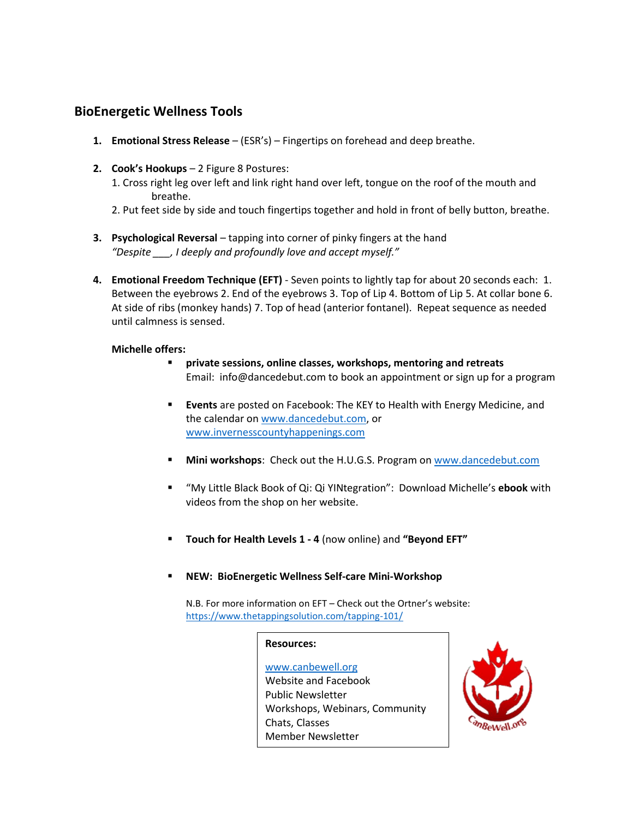### **BioEnergetic Wellness Tools**

- **1. Emotional Stress Release** (ESR's) Fingertips on forehead and deep breathe.
- **2. Cook's Hookups** 2 Figure 8 Postures:
	- 1. Cross right leg over left and link right hand over left, tongue on the roof of the mouth and breathe.
	- 2. Put feet side by side and touch fingertips together and hold in front of belly button, breathe.
- **3. Psychological Reversal** tapping into corner of pinky fingers at the hand *"Despite \_\_\_, I deeply and profoundly love and accept myself."*
- **4. Emotional Freedom Technique (EFT)** Seven points to lightly tap for about 20 seconds each: 1. Between the eyebrows 2. End of the eyebrows 3. Top of Lip 4. Bottom of Lip 5. At collar bone 6. At side of ribs (monkey hands) 7. Top of head (anterior fontanel). Repeat sequence as needed until calmness is sensed.

#### **Michelle offers:**

- **private sessions, online classes, workshops, mentoring and retreats** Email: [info@dancedebut.com](mailto:info@dancedebut.com) to book an appointment or sign up for a program
- **Events** are posted on Facebook: The KEY to Health with Energy Medicine, and the calendar o[n www.dancedebut.com,](http://www.dancedebut.com/) or [www.invernesscountyhappenings.com](http://www.invernesscountyhappenings.com/)
- **Mini workshops**: Check out the H.U.G.S. Program on [www.dancedebut.com](http://www.dancedebut.com/)
- "My Little Black Book of Qi: Qi YINtegration": Download Michelle's **ebook** with videos from the shop on her website.
- **Touch for Health Levels 1 - 4** (now online) and **"Beyond EFT"**
- **NEW: BioEnergetic Wellness Self-care Mini-Workshop**

N.B. For more information on EFT – Check out the Ortner's website: <https://www.thetappingsolution.com/tapping-101/>

#### **Resources:**

[www.canbewell.org](http://www.canbewell.org/) Website and Facebook Public Newsletter Workshops, Webinars, Community Chats, Classes Member Newsletter

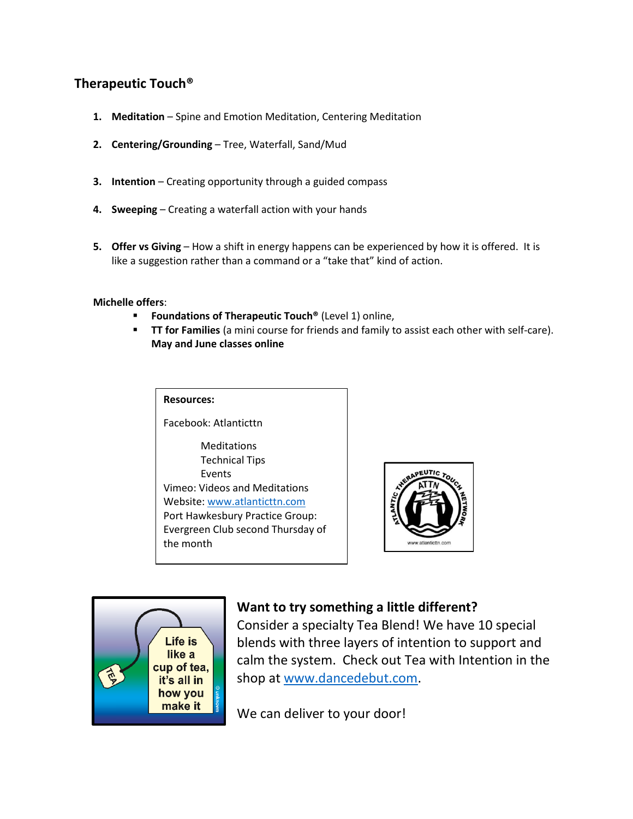### **Therapeutic Touch®**

- **1. Meditation** Spine and Emotion Meditation, Centering Meditation
- **2. Centering/Grounding** Tree, Waterfall, Sand/Mud
- **3. Intention** Creating opportunity through a guided compass
- **4. Sweeping** Creating a waterfall action with your hands
- **5. Offer vs Giving** How a shift in energy happens can be experienced by how it is offered. It is like a suggestion rather than a command or a "take that" kind of action.

**Michelle offers**:

- **Foundations of Therapeutic Touch<sup>®</sup> (Level 1) online,**
- **TT for Families** (a mini course for friends and family to assist each other with self-care). **May and June classes online**

#### **Resources:**

Facebook: Atlanticttn

Meditations Technical Tips Events Vimeo: Videos and Meditations Website[: www.atlanticttn.com](http://www.atlanticttn.com/) Port Hawkesbury Practice Group: Evergreen Club second Thursday of the month





### **Want to try something a little different?**

Consider a specialty Tea Blend! We have 10 special blends with three layers of intention to support and calm the system. Check out Tea with Intention in the shop at [www.dancedebut.com.](http://www.dancedebut.com/)

We can deliver to your door!